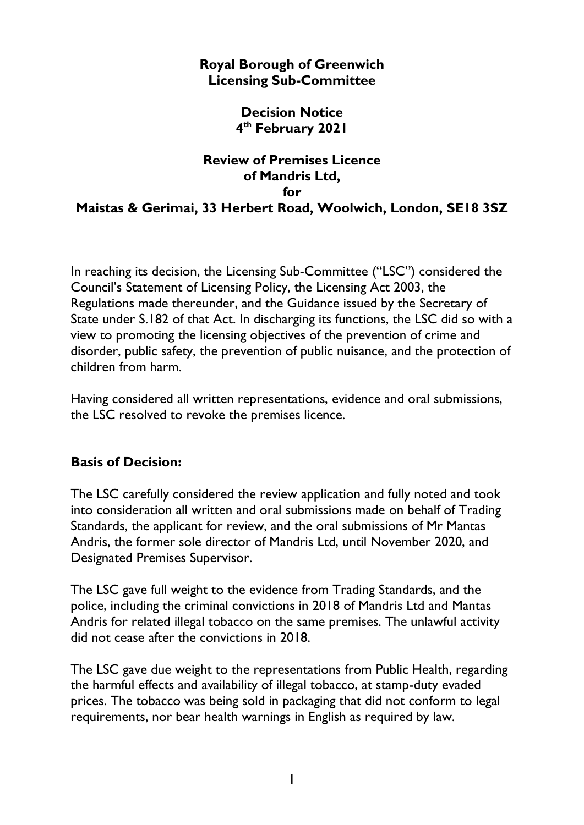## **Royal Borough of Greenwich Licensing Sub-Committee**

## **Decision Notice 4 th February 2021**

## **Review of Premises Licence of Mandris Ltd, for Maistas & Gerimai, 33 Herbert Road, Woolwich, London, SE18 3SZ**

In reaching its decision, the Licensing Sub-Committee ("LSC") considered the Council's Statement of Licensing Policy, the Licensing Act 2003, the Regulations made thereunder, and the Guidance issued by the Secretary of State under S.182 of that Act. In discharging its functions, the LSC did so with a view to promoting the licensing objectives of the prevention of crime and disorder, public safety, the prevention of public nuisance, and the protection of children from harm.

Having considered all written representations, evidence and oral submissions, the LSC resolved to revoke the premises licence.

## **Basis of Decision:**

The LSC carefully considered the review application and fully noted and took into consideration all written and oral submissions made on behalf of Trading Standards, the applicant for review, and the oral submissions of Mr Mantas Andris, the former sole director of Mandris Ltd, until November 2020, and Designated Premises Supervisor.

The LSC gave full weight to the evidence from Trading Standards, and the police, including the criminal convictions in 2018 of Mandris Ltd and Mantas Andris for related illegal tobacco on the same premises. The unlawful activity did not cease after the convictions in 2018.

The LSC gave due weight to the representations from Public Health, regarding the harmful effects and availability of illegal tobacco, at stamp-duty evaded prices. The tobacco was being sold in packaging that did not conform to legal requirements, nor bear health warnings in English as required by law.